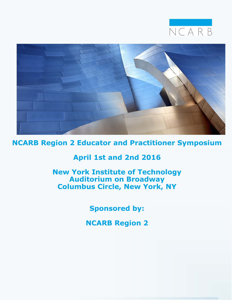



**NCARB Region 2 Educator and Practitioner Symposium**

# **April 1st and 2nd 2016**

**New York Institute of Technology Auditorium on Broadway Columbus Circle, New York, NY**

**Sponsored by:**

**NCARB Region 2**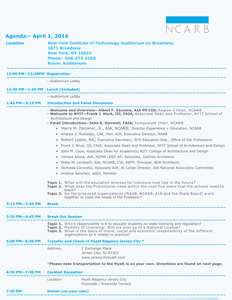

| Agenda-April 1, 2016                                                                               |                                                                                                                                                                                                                                                                                                                                                                                                                                                                                                                                                                                                                                                                                                                                                                                                                                                                                                                                                                                                                                                                                                                                                                                                                                                                                         |  |
|----------------------------------------------------------------------------------------------------|-----------------------------------------------------------------------------------------------------------------------------------------------------------------------------------------------------------------------------------------------------------------------------------------------------------------------------------------------------------------------------------------------------------------------------------------------------------------------------------------------------------------------------------------------------------------------------------------------------------------------------------------------------------------------------------------------------------------------------------------------------------------------------------------------------------------------------------------------------------------------------------------------------------------------------------------------------------------------------------------------------------------------------------------------------------------------------------------------------------------------------------------------------------------------------------------------------------------------------------------------------------------------------------------|--|
| 1871 Broadway<br><b>New York, NY 10023</b><br>Phone: 646-273-6100<br><b>Room: Auditorium</b>       | <b>New York Institute of Technology Auditorium on Broadway</b>                                                                                                                                                                                                                                                                                                                                                                                                                                                                                                                                                                                                                                                                                                                                                                                                                                                                                                                                                                                                                                                                                                                                                                                                                          |  |
| 12:00 PM-12:30PM Registration                                                                      | کے مطابق کے لیے اسے ملک میں اسے ملک میں اسے ملک میں اسکا میں اسے ملک میں اسکا میں اس میں اسکا میں اسکا میں اسک                                                                                                                                                                                                                                                                                                                                                                                                                                                                                                                                                                                                                                                                                                                                                                                                                                                                                                                                                                                                                                                                                                                                                                          |  |
| - Auditorium Lobby                                                                                 |                                                                                                                                                                                                                                                                                                                                                                                                                                                                                                                                                                                                                                                                                                                                                                                                                                                                                                                                                                                                                                                                                                                                                                                                                                                                                         |  |
| 12:30 PM-1:45 PM Lunch (Included)                                                                  |                                                                                                                                                                                                                                                                                                                                                                                                                                                                                                                                                                                                                                                                                                                                                                                                                                                                                                                                                                                                                                                                                                                                                                                                                                                                                         |  |
| - Auditorium Lobby                                                                                 |                                                                                                                                                                                                                                                                                                                                                                                                                                                                                                                                                                                                                                                                                                                                                                                                                                                                                                                                                                                                                                                                                                                                                                                                                                                                                         |  |
|                                                                                                    | <b>Introduction and Panel Discussion</b>                                                                                                                                                                                                                                                                                                                                                                                                                                                                                                                                                                                                                                                                                                                                                                                                                                                                                                                                                                                                                                                                                                                                                                                                                                                |  |
| Architecture and Design<br>$\bullet$<br>$\bullet$<br>$\bullet$<br>$\bullet$<br>$\bullet$<br>teach? | - Welcome and Overview-Albert F. Zaccone, AIA PP CID; Region 2 Chair, NCARB<br>- Welcome to NYIT-Frank J. Murk, III, FAIA; Associate Dean and Professor, NYIT School of<br>- Panel Introduction-John R. Sorrenti, FAIA; Symposium Chair, NCARB.<br>• Harry M. Falconer, Jr., AIA, NCARB; Director Experience + Education, NCARB<br>Andrea S. Rutledge, CAE, Hon. AIA; Executive Director, NAAB<br>Robert Lopez, RA; Executive Secretary, NYS Education Dep., Office of the Professions<br>Frank J. Mruk, III, FAIA; Associate Dean and Professor, NYIT School of Architecture and Design<br>John M. Cays; Associate Dean for Academics, NJIT College of Architecture and Design<br>Venesa Alicea, AIA, NOMA LEED AP; Associate, Dattner Architects<br>Philip M. Leinbach, AIA, NCARB, CSI, REFP; Principal, AEM Architects<br>Nicholas Caravella, Associate AIA; At-Large Director, AIA National Associates Committee<br>• Andrew Sanchez; AIAS, Member<br><b>Topic 1.</b> What will the education process for licensure look like in the future?<br>Topic 2. What does the Practitioner need within the next five years that the schools need to<br>Topic 3. Do the proposed organizations (NAAB, NCARB, AIA and the State Board) work<br>together to meet the needs of the Professor? |  |
| <b>Break</b>                                                                                       |                                                                                                                                                                                                                                                                                                                                                                                                                                                                                                                                                                                                                                                                                                                                                                                                                                                                                                                                                                                                                                                                                                                                                                                                                                                                                         |  |
|                                                                                                    |                                                                                                                                                                                                                                                                                                                                                                                                                                                                                                                                                                                                                                                                                                                                                                                                                                                                                                                                                                                                                                                                                                                                                                                                                                                                                         |  |
| <b>Break Out Session</b>                                                                           |                                                                                                                                                                                                                                                                                                                                                                                                                                                                                                                                                                                                                                                                                                                                                                                                                                                                                                                                                                                                                                                                                                                                                                                                                                                                                         |  |
|                                                                                                    | <b>Topic 1.</b> Who's responsibility is it to educate students on state licensing and regulation?<br>Topic 2. Mobility of Licensing: Will we ever go to a National License?<br>Topic 3. What is the basis of moral, social and economic responsibility of the different<br>organizations as it relates to practice?                                                                                                                                                                                                                                                                                                                                                                                                                                                                                                                                                                                                                                                                                                                                                                                                                                                                                                                                                                     |  |
|                                                                                                    | Transfer and Check-in Hyatt Regency Jersey City *                                                                                                                                                                                                                                                                                                                                                                                                                                                                                                                                                                                                                                                                                                                                                                                                                                                                                                                                                                                                                                                                                                                                                                                                                                       |  |
| Address:                                                                                           | 2 Exchange Place<br>Jersey City, NJ 07302<br>www.jerseycityhyatt.com                                                                                                                                                                                                                                                                                                                                                                                                                                                                                                                                                                                                                                                                                                                                                                                                                                                                                                                                                                                                                                                                                                                                                                                                                    |  |
|                                                                                                    | *Please note transportation to the Hyatt is on your own. Directions are found on next page.                                                                                                                                                                                                                                                                                                                                                                                                                                                                                                                                                                                                                                                                                                                                                                                                                                                                                                                                                                                                                                                                                                                                                                                             |  |
|                                                                                                    | <b>Cocktail Reception</b>                                                                                                                                                                                                                                                                                                                                                                                                                                                                                                                                                                                                                                                                                                                                                                                                                                                                                                                                                                                                                                                                                                                                                                                                                                                               |  |
| Location:                                                                                          | Hyatt Regency Jersey City<br>Riverside / Riverside Terrace                                                                                                                                                                                                                                                                                                                                                                                                                                                                                                                                                                                                                                                                                                                                                                                                                                                                                                                                                                                                                                                                                                                                                                                                                              |  |
|                                                                                                    |                                                                                                                                                                                                                                                                                                                                                                                                                                                                                                                                                                                                                                                                                                                                                                                                                                                                                                                                                                                                                                                                                                                                                                                                                                                                                         |  |

#### **7:30 PM Dinner (on your own) —————————————————————————————————————–——————————————————————————–**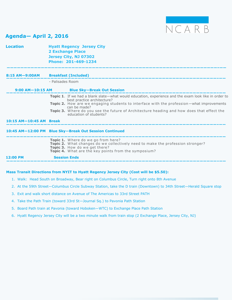

# **Agenda— April 2, 2016**

| <b>Location</b>         | <b>Hyatt Regency Jersey City</b><br><b>2 Exchange Place</b><br>Jersey City, NJ 07302<br>Phone: 201-469-1234                                                                                                   |
|-------------------------|---------------------------------------------------------------------------------------------------------------------------------------------------------------------------------------------------------------|
|                         | 8:15 AM-9:00AM Breakfast (Included)<br>المترابط المرابط المرابط المرابط المرابط المرابط المرابط المرابط المرابط المرابط المرابط المرابط المرابط المرابط المرابط                                               |
|                         | - Palisades Room                                                                                                                                                                                              |
|                         | 9:00 AM-10:15 AM Blue Sky-Break Out Session                                                                                                                                                                   |
|                         | Topic 1. If we had a blank slate—what would education, experience and the exam look like in order to<br>best practice architecture?                                                                           |
|                         | Topic 2. How are we engaging students to interface with the profession-what improvements<br>can be made?                                                                                                      |
|                         | Topic 3. Where do you see the future of Architecture heading and how does that effect the<br>education of students?                                                                                           |
| 10:15 AM-10:45 AM Break |                                                                                                                                                                                                               |
|                         | 10:45 AM-12:00 PM Blue Sky-Break Out Session Continued                                                                                                                                                        |
|                         | Topic 1. Where do we go from here?<br>Topic 2. What changes do we collectively need to make the profession stronger?<br>Topic 3. How do we get there?<br>Topic 4. What are the key points from the symposium? |
| 12:00 PM                | <b>Session Ends</b>                                                                                                                                                                                           |

### **Mass Transit Directions from NYIT to Hyatt Regency Jersey City (Cost will be \$5.50):**

- 1. Walk: Head South on Broadway, Bear right on Columbus Circle, Turn right onto 8th Avenue
- 2. At the 59th Street—Columbus Circle Subway Station, take the D train (Downtown) to 34th Street—Herald Square stop
- 3. Exit and walk short distance on Avenue of The Americas to 33rd Street PATH
- 4. Take the Path Train (toward 33rd St—Journal Sq.) to Pavonia Path Station
- 5. Board Path train at Pavonia (toward Hoboken—WTC) to Exchange Place Path Station
- 6. Hyatt Regency Jersey City will be a two minute walk from train stop (2 Exchange Place, Jersey City, NJ)